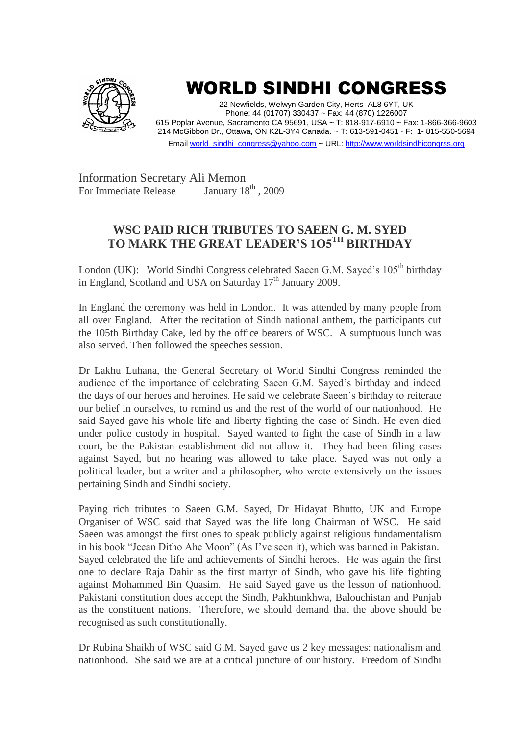

## WORLD SINDHI CONGRESS

22 Newfields, Welwyn Garden City, Herts AL8 6YT, UK Phone: 44 (01707) 330437 ~ Fax: 44 (870) 1226007 615 Poplar Avenue, Sacramento CA 95691, USA ~ T: 818-917-6910 ~ Fax: 1-866-366-9603 214 McGibbon Dr., Ottawa, ON K2L-3Y4 Canada. ~ T: 613-591-0451~ F: 1- 815-550-5694 Emai[l world\\_sindhi\\_congress@yahoo.com](mailto:world_sindhi_congress@yahoo.com) ~ URL[: http://www.worldsindhicongrss.org](http://www.worldsindhicongrss.org/)

Information Secretary Ali Memon<br>For Immediate Release January 18<sup>th</sup> 2009 For Immediate Release

## **WSC PAID RICH TRIBUTES TO SAEEN G. M. SYED TO MARK THE GREAT LEADER'S 1O5TH BIRTHDAY**

London (UK): World Sindhi Congress celebrated Saeen G.M. Sayed's 105<sup>th</sup> birthday in England, Scotland and USA on Saturday  $17<sup>th</sup>$  January 2009.

In England the ceremony was held in London. It was attended by many people from all over England. After the recitation of Sindh national anthem, the participants cut the 105th Birthday Cake, led by the office bearers of WSC. A sumptuous lunch was also served. Then followed the speeches session.

Dr Lakhu Luhana, the General Secretary of World Sindhi Congress reminded the audience of the importance of celebrating Saeen G.M. Sayed's birthday and indeed the days of our heroes and heroines. He said we celebrate Saeen's birthday to reiterate our belief in ourselves, to remind us and the rest of the world of our nationhood. He said Sayed gave his whole life and liberty fighting the case of Sindh. He even died under police custody in hospital. Sayed wanted to fight the case of Sindh in a law court, be the Pakistan establishment did not allow it. They had been filing cases against Sayed, but no hearing was allowed to take place. Sayed was not only a political leader, but a writer and a philosopher, who wrote extensively on the issues pertaining Sindh and Sindhi society.

Paying rich tributes to Saeen G.M. Sayed, Dr Hidayat Bhutto, UK and Europe Organiser of WSC said that Sayed was the life long Chairman of WSC. He said Saeen was amongst the first ones to speak publicly against religious fundamentalism in his book "Jeean Ditho Ahe Moon" (As I've seen it), which was banned in Pakistan. Sayed celebrated the life and achievements of Sindhi heroes. He was again the first one to declare Raja Dahir as the first martyr of Sindh, who gave his life fighting against Mohammed Bin Quasim. He said Sayed gave us the lesson of nationhood. Pakistani constitution does accept the Sindh, Pakhtunkhwa, Balouchistan and Punjab as the constituent nations. Therefore, we should demand that the above should be recognised as such constitutionally.

Dr Rubina Shaikh of WSC said G.M. Sayed gave us 2 key messages: nationalism and nationhood. She said we are at a critical juncture of our history. Freedom of Sindhi